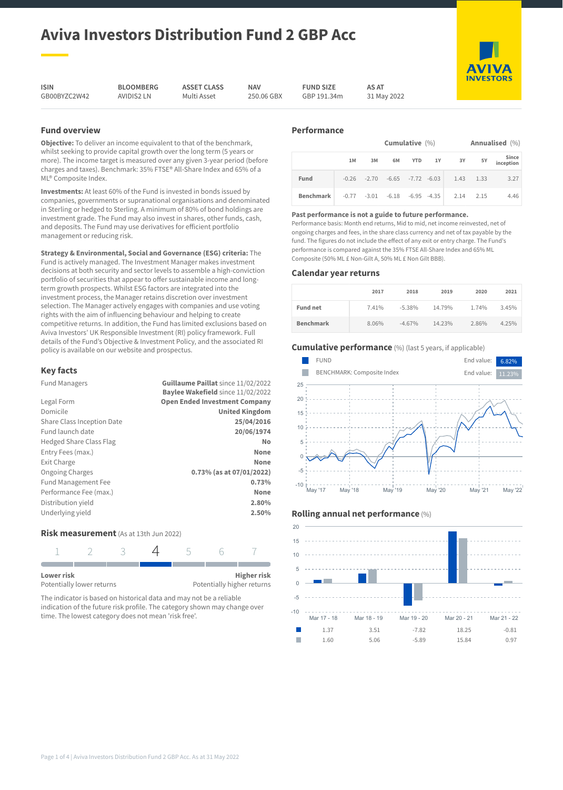# **Aviva Investors Distribution Fund 2 GBP Acc**

**ISIN** GB00BYZC2W42 **BLOOMBERG** AVIDIS2 LN

**ASSET CLASS** Multi Asset

**NAV** 250.06 GBX **FUND SIZE** GBP 191.34m

**AS AT** 31 May 2022

**Fund overview**

**Objective:** To deliver an income equivalent to that of the benchmark, whilst seeking to provide capital growth over the long term (5 years or more). The income target is measured over any given 3-year period (before charges and taxes). Benchmark: 35% FTSE® All-Share Index and 65% of a ML® Composite Index.

**Investments:** At least 60% of the Fund is invested in bonds issued by companies, governments or supranational organisations and denominated in Sterling or hedged to Sterling. A minimum of 80% of bond holdings are investment grade. The Fund may also invest in shares, other funds, cash, and deposits. The Fund may use derivatives for efficient portfolio management or reducing risk.

**Strategy & Environmental, Social and Governance (ESG) criteria:** The Fund is actively managed. The Investment Manager makes investment decisions at both security and sector levels to assemble a high-conviction portfolio of securities that appear to offer sustainable income and longterm growth prospects. Whilst ESG factors are integrated into the investment process, the Manager retains discretion over investment selection. The Manager actively engages with companies and use voting rights with the aim of influencing behaviour and helping to create competitive returns. In addition, the Fund has limited exclusions based on Aviva Investors' UK Responsible Investment (RI) policy framework. Full details of the Fund's Objective & Investment Policy, and the associated RI policy is available on our website and prospectus.

# **Key facts**

| <b>Fund Managers</b>           | Guillaume Paillat since 11/02/2022       |
|--------------------------------|------------------------------------------|
|                                | <b>Baylee Wakefield since 11/02/2022</b> |
| Legal Form                     | <b>Open Ended Investment Company</b>     |
| Domicile                       | <b>United Kingdom</b>                    |
| Share Class Inception Date     | 25/04/2016                               |
| Fund launch date               | 20/06/1974                               |
| <b>Hedged Share Class Flag</b> | No                                       |
| Entry Fees (max.)              | <b>None</b>                              |
| Exit Charge                    | <b>None</b>                              |
| <b>Ongoing Charges</b>         | 0.73% (as at 07/01/2022)                 |
| <b>Fund Management Fee</b>     | 0.73%                                    |
| Performance Fee (max.)         | <b>None</b>                              |
| Distribution yield             | 2.80%                                    |
| Underlying yield               | 2.50%                                    |

# **Risk measurement** (As at 13th Jun 2022)

| Lower risk<br>Potentially lower returns |  |  | <b>Higher risk</b><br>Potentially higher returns |
|-----------------------------------------|--|--|--------------------------------------------------|

The indicator is based on historical data and may not be a reliable indication of the future risk profile. The category shown may change over time. The lowest category does not mean 'risk free'.

# **Performance**

| Annualised (%)<br>Cumulative $(\% )$ |    |    |                                         |  |               |      |                    |
|--------------------------------------|----|----|-----------------------------------------|--|---------------|------|--------------------|
|                                      | 1M | 3M | 6M                                      |  | YTD 1Y 3Y     | 5Y   | Since<br>inception |
| Fund                                 |    |    | $-0.26$ $-2.70$ $-6.65$ $-7.72$ $-6.03$ |  | $1.43$ $1.33$ |      | 3.27               |
| <b>Benchmark</b>                     |    |    | $-0.77$ $-3.01$ $-6.18$ $-6.95$ $-4.35$ |  | 2.14          | 2.15 | 4.46               |

#### **Past performance is not a guide to future performance.**

Performance basis: Month end returns, Mid to mid, net income reinvested, net of ongoing charges and fees, in the share class currency and net of tax payable by the fund. The figures do not include the effect of any exit or entry charge. The Fund's performance is compared against the 35% FTSE All-Share Index and 65% ML Composite (50% ML £ Non-Gilt A, 50% ML £ Non Gilt BBB).

## **Calendar year returns**

|                  | 2017  | 2018      | 2019   | 2020  | 2021  |
|------------------|-------|-----------|--------|-------|-------|
| <b>Fund net</b>  | 7.41% | $-5.38\%$ | 14.79% | 1.74% | 3.45% |
| <b>Benchmark</b> | 8.06% | $-4.67%$  | 14.23% | 2.86% | 4.25% |

# **Cumulative performance** (%) (last 5 years, if applicable)







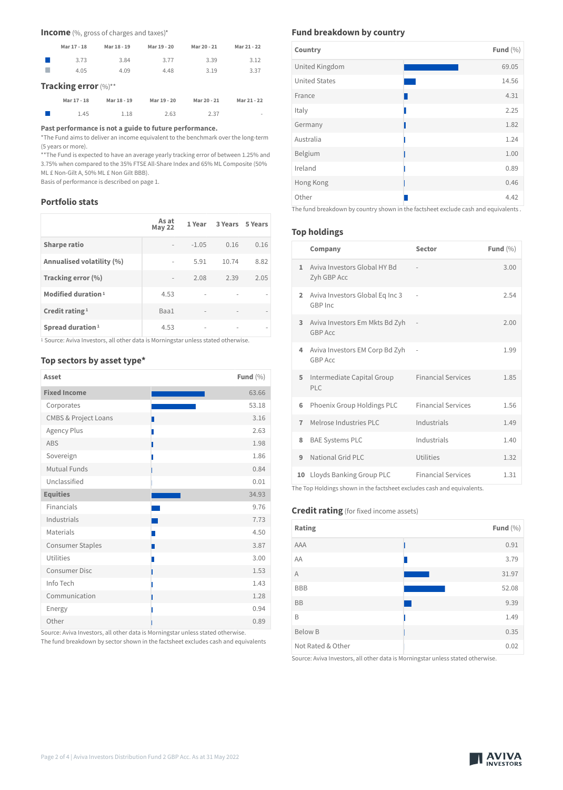**Income** (%, gross of charges and taxes)\*

| Mar 17 - 18          | Mar 18 - 19 | Mar 19 - 20 | Mar 20 - 21 | Mar 21 - 22 |
|----------------------|-------------|-------------|-------------|-------------|
| 3.73                 | 3.84        | 3.77        | 3.39        | 3.12        |
| 4.05                 | 4.09        | 4.48        | 3.19        | 3.37        |
| Tracking error (%)** |             |             |             |             |
| Mar 17 - 18          | Mar 18 - 19 | Mar 19 - 20 | Mar 20 - 21 | Mar 21 - 22 |
| 1.45                 | 1.18        | 2.63        | 2.37        |             |

**Past performance is not a guide to future performance.**

\*The Fund aims to deliver an income equivalent to the benchmark over the long-term (5 years or more).

\*\*The Fund is expected to have an average yearly tracking error of between 1.25% and 3.75% when compared to the 35% FTSE All-Share Index and 65% ML Composite (50% ML £ Non-Gilt A, 50% ML £ Non Gilt BBB).

Basis of performance is described on page 1.

# **Portfolio stats**

|                                | As at<br><b>May 22</b>   | 1 Year                   | 3 Years | 5 Years |
|--------------------------------|--------------------------|--------------------------|---------|---------|
| <b>Sharpe ratio</b>            |                          | $-1.05$                  | 0.16    | 0.16    |
| Annualised volatility (%)      | $\overline{\phantom{0}}$ | 5.91                     | 10.74   | 8.82    |
| Tracking error (%)             | $\overline{\phantom{a}}$ | 2.08                     | 2.39    | 2.05    |
| Modified duration <sup>1</sup> | 4.53                     | $\overline{\phantom{a}}$ |         |         |
| Credit rating $1$              | Baa1                     | $\overline{\phantom{a}}$ |         |         |
| Spread duration <sup>1</sup>   | 4.53                     |                          |         |         |

<sup>1</sup> Source: Aviva Investors, all other data is Morningstar unless stated otherwise.

# **Top sectors by asset type\***

| Asset                           | Fund $(\% )$ |
|---------------------------------|--------------|
| <b>Fixed Income</b>             | 63.66        |
| Corporates                      | 53.18        |
| <b>CMBS &amp; Project Loans</b> | 3.16         |
| Agency Plus                     | 2.63<br>П    |
| <b>ABS</b>                      | 1.98<br>П    |
| Sovereign                       | 1.86<br>ı    |
| Mutual Funds                    | 0.84         |
| Unclassified                    | 0.01         |
| <b>Equities</b>                 | 34.93        |
| Financials                      | 9.76         |
| Industrials                     | 7.73         |
| Materials                       | 4.50         |
| <b>Consumer Staples</b>         | 3.87         |
| Utilities                       | 3.00<br>Ш    |
| <b>Consumer Disc</b>            | 1.53<br>ı    |
| Info Tech                       | 1.43<br>П    |
| Communication                   | 1.28         |
| Energy                          | 0.94         |
| Other                           | 0.89         |

Source: Aviva Investors, all other data is Morningstar unless stated otherwise.

The fund breakdown by sector shown in the factsheet excludes cash and equivalents

# **Fund breakdown by country**

| Country              | Fund $(\% )$ |  |
|----------------------|--------------|--|
| United Kingdom       | 69.05        |  |
| <b>United States</b> | 14.56        |  |
| France               | 4.31         |  |
| Italy                | 2.25         |  |
| Germany              | 1.82         |  |
| Australia            | 1.24         |  |
| Belgium              | 1.00         |  |
| Ireland              | 0.89         |  |
| Hong Kong            | 0.46         |  |
| Other                | 4.42         |  |

The fund breakdown by country shown in the factsheet exclude cash and equivalents .

# **Top holdings**

|                | Company                                                                                                                                     | Sector                    | Fund $(\% )$ |
|----------------|---------------------------------------------------------------------------------------------------------------------------------------------|---------------------------|--------------|
| $\mathbf{1}$   | Aviva Investors Global HY Bd<br>Zyh GBP Acc                                                                                                 |                           | 3.00         |
| $\overline{2}$ | Aviva Investors Global Eq Inc 3<br>GBP Inc                                                                                                  |                           | 2.54         |
| 3              | Aviva Investors Em Mkts Bd Zyh<br><b>GBP Acc</b>                                                                                            |                           | 2.00         |
| 4              | Aviva Investors EM Corp Bd Zyh<br><b>GBP Acc</b>                                                                                            |                           | 1.99         |
| 5              | Intermediate Capital Group<br>PLC                                                                                                           | <b>Financial Services</b> | 1.85         |
| 6              | Phoenix Group Holdings PLC                                                                                                                  | <b>Financial Services</b> | 1.56         |
| $\overline{7}$ | Melrose Industries PLC                                                                                                                      | Industrials               | 1.49         |
| 8              | <b>BAE Systems PLC</b>                                                                                                                      | Industrials               | 1.40         |
| 9              | National Grid PLC                                                                                                                           | Utilities                 | 1.32         |
| 10             | Lloyds Banking Group PLC<br>the contract of the contract of the contract of the contract of the contract of the contract of the contract of | <b>Financial Services</b> | 1.31         |

The Top Holdings shown in the factsheet excludes cash and equivalents.

# **Credit rating** (for fixed income assets)

| Rating                 |                                                               | Fund $(\% )$ |
|------------------------|---------------------------------------------------------------|--------------|
| AAA                    |                                                               | 0.91         |
| AA                     |                                                               | 3.79         |
| Α                      |                                                               | 31.97        |
| <b>BBB</b>             |                                                               | 52.08        |
| <b>BB</b>              |                                                               | 9.39         |
| B                      |                                                               | 1.49         |
| <b>Below B</b>         |                                                               | 0.35         |
| Not Rated & Other<br>. | $\sim$ $\sim$ $\sim$ $\sim$ $\sim$<br>$\cdots$<br>.<br>$\sim$ | 0.02         |

Source: Aviva Investors, all other data is Morningstar unless stated otherwise.

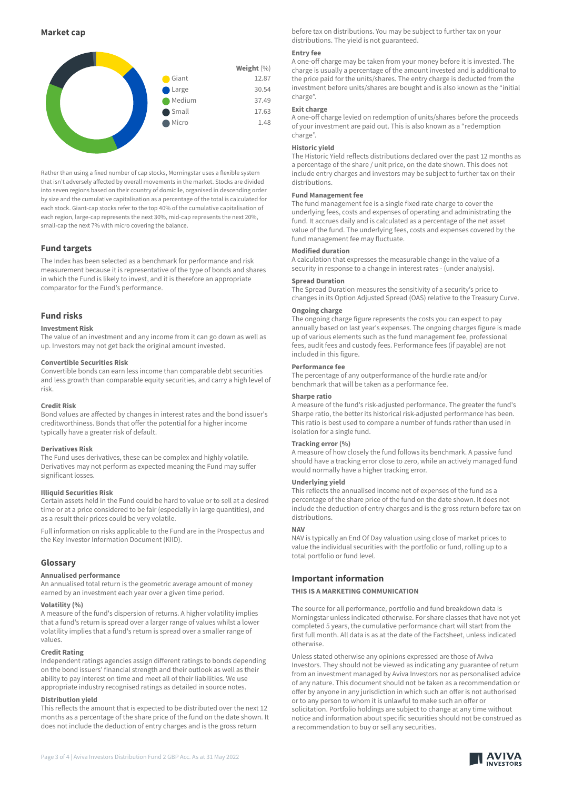

Rather than using a fixed number of cap stocks, Morningstar uses a flexible system that isn't adversely affected by overall movements in the market. Stocks are divided into seven regions based on their country of domicile, organised in descending order by size and the cumulative capitalisation as a percentage of the total is calculated for each stock. Giant-cap stocks refer to the top 40% of the cumulative capitalisation of each region, large-cap represents the next 30%, mid-cap represents the next 20%, small-cap the next 7% with micro covering the balance.

# **Fund targets**

The Index has been selected as a benchmark for performance and risk measurement because it is representative of the type of bonds and shares in which the Fund is likely to invest, and it is therefore an appropriate comparator for the Fund's performance.

# **Fund risks**

#### **Investment Risk**

The value of an investment and any income from it can go down as well as up. Investors may not get back the original amount invested.

#### **Convertible Securities Risk**

Convertible bonds can earn less income than comparable debt securities and less growth than comparable equity securities, and carry a high level of risk.

#### **Credit Risk**

Bond values are affected by changes in interest rates and the bond issuer's creditworthiness. Bonds that offer the potential for a higher income typically have a greater risk of default.

#### **Derivatives Risk**

The Fund uses derivatives, these can be complex and highly volatile. Derivatives may not perform as expected meaning the Fund may suffer significant losses.

#### **Illiquid Securities Risk**

Certain assets held in the Fund could be hard to value or to sell at a desired time or at a price considered to be fair (especially in large quantities), and as a result their prices could be very volatile.

Full information on risks applicable to the Fund are in the Prospectus and the Key Investor Information Document (KIID).

#### **Glossary**

#### **Annualised performance**

An annualised total return is the geometric average amount of money earned by an investment each year over a given time period.

#### **Volatility (%)**

A measure of the fund's dispersion of returns. A higher volatility implies that a fund's return is spread over a larger range of values whilst a lower volatility implies that a fund's return is spread over a smaller range of values.

#### **Credit Rating**

Independent ratings agencies assign different ratings to bonds depending on the bond issuers' financial strength and their outlook as well as their ability to pay interest on time and meet all of their liabilities. We use appropriate industry recognised ratings as detailed in source notes.

#### **Distribution yield**

This reflects the amount that is expected to be distributed over the next 12 months as a percentage of the share price of the fund on the date shown. It does not include the deduction of entry charges and is the gross return

before tax on distributions. You may be subject to further tax on your distributions. The yield is not guaranteed.

#### **Entry fee**

A one-off charge may be taken from your money before it is invested. The charge is usually a percentage of the amount invested and is additional to the price paid for the units/shares. The entry charge is deducted from the investment before units/shares are bought and is also known as the "initial charge".

#### **Exit charge**

A one-off charge levied on redemption of units/shares before the proceeds of your investment are paid out. This is also known as a "redemption charge".

#### **Historic yield**

The Historic Yield reflects distributions declared over the past 12 months as a percentage of the share / unit price, on the date shown. This does not include entry charges and investors may be subject to further tax on their distributions.

# **Fund Management fee**

The fund management fee is a single fixed rate charge to cover the underlying fees, costs and expenses of operating and administrating the fund. It accrues daily and is calculated as a percentage of the net asset value of the fund. The underlying fees, costs and expenses covered by the fund management fee may fluctuate.

#### **Modified duration**

A calculation that expresses the measurable change in the value of a security in response to a change in interest rates - (under analysis).

#### **Spread Duration**

The Spread Duration measures the sensitivity of a security's price to changes in its Option Adjusted Spread (OAS) relative to the Treasury Curve.

# **Ongoing charge**

The ongoing charge figure represents the costs you can expect to pay annually based on last year's expenses. The ongoing charges figure is made up of various elements such as the fund management fee, professional fees, audit fees and custody fees. Performance fees (if payable) are not included in this figure.

#### **Performance fee**

The percentage of any outperformance of the hurdle rate and/or benchmark that will be taken as a performance fee.

#### **Sharpe ratio**

A measure of the fund's risk-adjusted performance. The greater the fund's Sharpe ratio, the better its historical risk-adjusted performance has been. This ratio is best used to compare a number of funds rather than used in isolation for a single fund.

#### **Tracking error (%)**

A measure of how closely the fund follows its benchmark. A passive fund should have a tracking error close to zero, while an actively managed fund would normally have a higher tracking error.

#### **Underlying yield**

This reflects the annualised income net of expenses of the fund as a percentage of the share price of the fund on the date shown. It does not include the deduction of entry charges and is the gross return before tax on distributions.

#### **NAV**

NAV is typically an End Of Day valuation using close of market prices to value the individual securities with the portfolio or fund, rolling up to a total portfolio or fund level.

### **Important information**

#### **THIS IS A MARKETING COMMUNICATION**

The source for all performance, portfolio and fund breakdown data is Morningstar unless indicated otherwise. For share classes that have not yet completed 5 years, the cumulative performance chart will start from the first full month. All data is as at the date of the Factsheet, unless indicated otherwise.

Unless stated otherwise any opinions expressed are those of Aviva Investors. They should not be viewed as indicating any guarantee of return from an investment managed by Aviva Investors nor as personalised advice of any nature. This document should not be taken as a recommendation or offer by anyone in any jurisdiction in which such an offer is not authorised or to any person to whom it is unlawful to make such an offer or solicitation. Portfolio holdings are subject to change at any time without notice and information about specific securities should not be construed as a recommendation to buy or sell any securities.